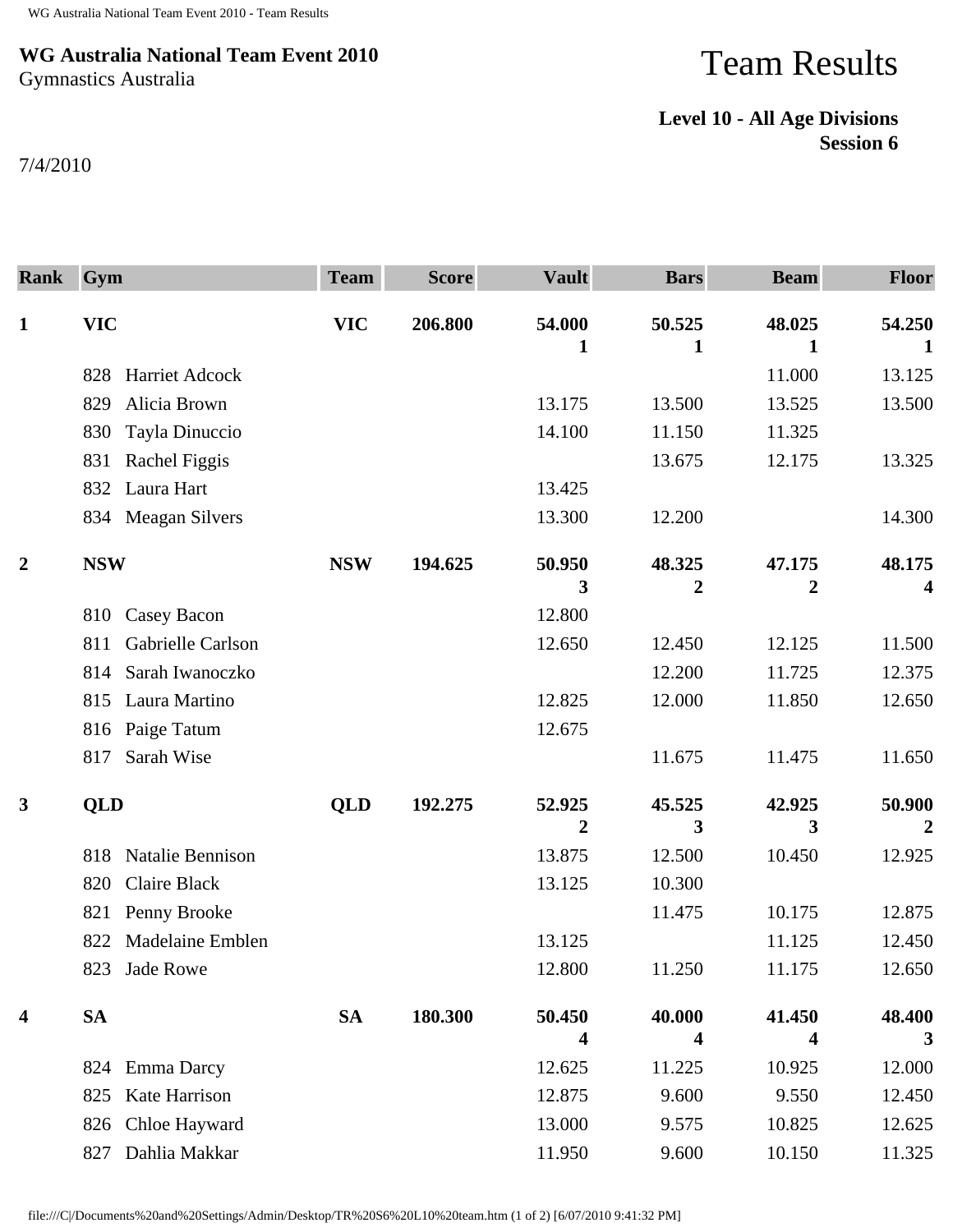## **WG Australia National Team Event 2010** Gymnastics Australia

## Team Results

## **Level 10 - All Age Divisions Session 6**

7/4/2010

| <b>Rank</b>      | Gym                            | <b>Team</b> | <b>Score</b> | <b>Vault</b> | <b>Bars</b> | <b>Beam</b> | <b>Floor</b>             |
|------------------|--------------------------------|-------------|--------------|--------------|-------------|-------------|--------------------------|
| $\mathbf{1}$     | <b>VIC</b>                     | <b>VIC</b>  | 206.800      | 54.000<br>1  | 50.525<br>1 | 48.025<br>1 | 54.250<br>1              |
|                  | <b>Harriet Adcock</b><br>828   |             |              |              |             | 11.000      | 13.125                   |
|                  | Alicia Brown<br>829            |             |              | 13.175       | 13.500      | 13.525      | 13.500                   |
|                  | Tayla Dinuccio<br>830          |             |              | 14.100       | 11.150      | 11.325      |                          |
|                  | Rachel Figgis<br>831           |             |              |              | 13.675      | 12.175      | 13.325                   |
|                  | Laura Hart<br>832              |             |              | 13.425       |             |             |                          |
|                  | <b>Meagan Silvers</b><br>834   |             |              | 13.300       | 12.200      |             | 14.300                   |
| $\overline{2}$   | <b>NSW</b>                     | <b>NSW</b>  | 194.625      | 50.950       | 48.325      | 47.175      | 48.175                   |
|                  |                                |             |              | 3            | 2           | 2           | 4                        |
|                  | Casey Bacon<br>810             |             |              | 12.800       |             |             |                          |
|                  | Gabrielle Carlson<br>811       |             |              | 12.650       | 12.450      | 12.125      | 11.500                   |
|                  | Sarah Iwanoczko<br>814         |             |              |              | 12.200      | 11.725      | 12.375                   |
|                  | Laura Martino<br>815           |             |              | 12.825       | 12.000      | 11.850      | 12.650                   |
|                  | 816 Paige Tatum                |             |              | 12.675       |             |             |                          |
|                  | Sarah Wise<br>817              |             |              |              | 11.675      | 11.475      | 11.650                   |
| $\mathbf{3}$     | <b>QLD</b>                     | QLD         | 192.275      | 52.925<br>2  | 45.525<br>3 | 42.925<br>3 | 50.900<br>$\overline{2}$ |
|                  | Natalie Bennison<br>818        |             |              | 13.875       | 12.500      | 10.450      | 12.925                   |
|                  | <b>Claire Black</b><br>820     |             |              | 13.125       | 10.300      |             |                          |
|                  | Penny Brooke<br>821            |             |              |              | 11.475      | 10.175      | 12.875                   |
|                  | <b>Madelaine Emblen</b><br>822 |             |              | 13.125       |             | 11.125      | 12.450                   |
|                  | 823 Jade Rowe                  |             |              | 12.800       | 11.250      | 11.175      | 12.650                   |
| $\boldsymbol{4}$ | <b>SA</b>                      | <b>SA</b>   | 180.300      | 50.450       | 40.000      | 41.450      | 48.400                   |
|                  |                                |             |              | 4            | 4           | 4           | 3                        |
|                  | <b>Emma Darcy</b><br>824       |             |              | 12.625       | 11.225      | 10.925      | 12.000                   |
|                  | <b>Kate Harrison</b><br>825    |             |              | 12.875       | 9.600       | 9.550       | 12.450                   |
|                  | Chloe Hayward<br>826           |             |              | 13.000       | 9.575       | 10.825      | 12.625                   |
|                  | Dahlia Makkar<br>827           |             |              | 11.950       | 9.600       | 10.150      | 11.325                   |

file:///C|/Documents%20and%20Settings/Admin/Desktop/TR%20S6%20L10%20team.htm (1 of 2) [6/07/2010 9:41:32 PM]